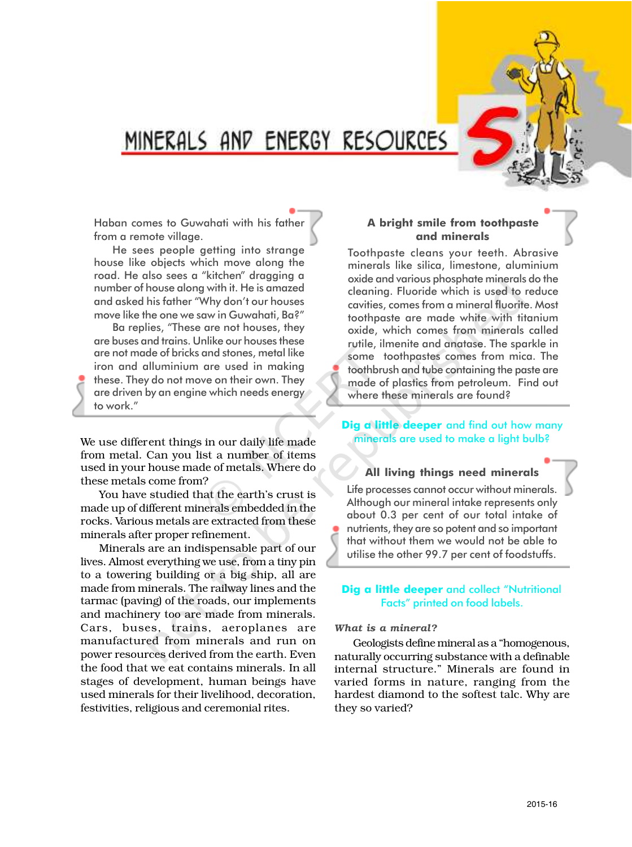# MINERALS AND ENERGY RESOURCES

Haban comes to Guwahati with his father from a remote village.

He sees people getting into strange house like objects which move along the road. He also sees a "kitchen" dragging a number of house along with it. He is amazed and asked his father "Why don't our houses move like the one we saw in Guwahati, Ba?"

Ba replies, "These are not houses, they are buses and trains. Unlike our houses these are not made of bricks and stones, metal like iron and alluminium are used in making these. They do not move on their own. They are driven by an engine which needs energy

to work."

We use different things in our daily life made from metal. Can you list a number of items used in your house made of metals. Where do these metals come from?

You have studied that the earth's crust is made up of different minerals embedded in the rocks. Various metals are extracted from these minerals after proper refinement.

Minerals are an indispensable part of our lives. Almost everything we use, from a tiny pin to a towering building or a big ship, all are made from minerals. The railway lines and the tarmac (paving) of the roads, our implements and machinery too are made from minerals. Cars, buses, trains, aeroplanes are manufactured from minerals and run on power resources derived from the earth. Even the food that we eat contains minerals. In all stages of development, human beings have used minerals for their livelihood, decoration, festivities, religious and ceremonial rites.

## **A bright smile from toothpaste and minerals**

Toothpaste cleans your teeth. Abrasive minerals like silica, limestone, aluminium oxide and various phosphate minerals do the cleaning. Fluoride which is used to reduce cavities, comes from a mineral fluorite. Most toothpaste are made white with titanium oxide, which comes from minerals called rutile, ilmenite and anatase. The sparkle in some toothpastes comes from mica. The toothbrush and tube containing the paste are made of plastics from petroleum. Find out where these minerals are found?

**Dig a little deeper** and find out how many minerals are used to make a light bulb?

### **All living things need minerals**

Life processes cannot occur without minerals. Although our mineral intake represents only about 0.3 per cent of our total intake of nutrients, they are so potent and so important that without them we would not be able to utilise the other 99.7 per cent of foodstuffs.

**Dig a little deeper** and collect "Nutritional Facts" printed on food labels.

### *What is a mineral?*

Geologists define mineral as a "homogenous, naturally occurring substance with a definable internal structure." Minerals are found in varied forms in nature, ranging from the hardest diamond to the softest talc. Why are they so varied?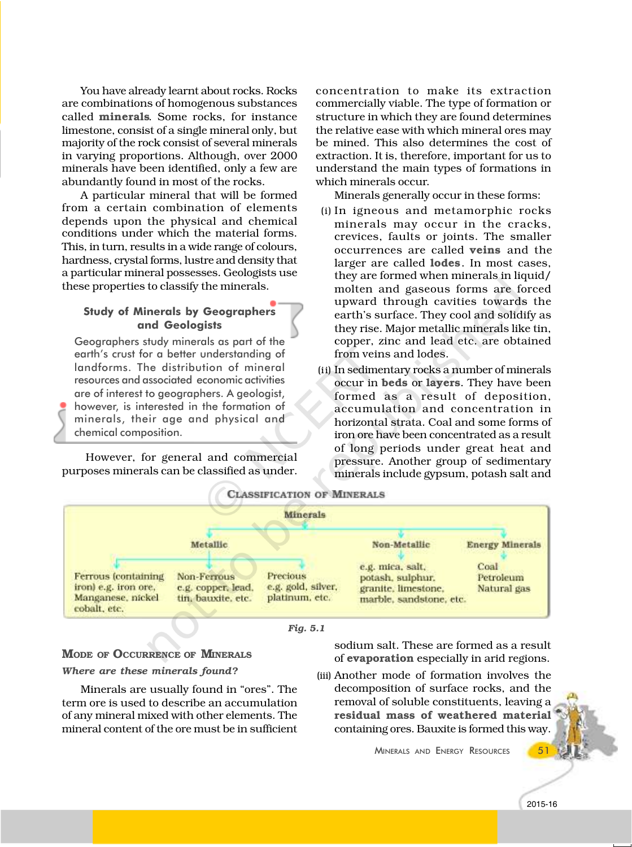You have already learnt about rocks. Rocks are combinations of homogenous substances called minerals. Some rocks, for instance limestone, consist of a single mineral only, but majority of the rock consist of several minerals in varying proportions. Although, over 2000 minerals have been identified, only a few are abundantly found in most of the rocks.

A particular mineral that will be formed from a certain combination of elements depends upon the physical and chemical conditions under which the material forms. This, in turn, results in a wide range of colours, hardness, crystal forms, lustre and density that a particular mineral possesses. Geologists use these properties to classify the minerals.

### **Study of Minerals by Geographers and Geologists**

Geographers study minerals as part of the earth's crust for a better understanding of landforms. The distribution of mineral resources and associated economic activities are of interest to geographers. A geologist, however, is interested in the formation of minerals, their age and physical and chemical composition.

However, for general and commercial purposes minerals can be classified as under.

concentration to make its extraction commercially viable. The type of formation or structure in which they are found determines the relative ease with which mineral ores may be mined. This also determines the cost of extraction. It is, therefore, important for us to understand the main types of formations in which minerals occur.

Minerals generally occur in these forms:

- (i) In igneous and metamorphic rocks minerals may occur in the cracks, crevices, faults or joints. The smaller occurrences are called veins and the larger are called **lodes**. In most cases, they are formed when minerals in liquid/ molten and gaseous forms are forced upward through cavities towards the earth's surface. They cool and solidify as they rise. Major metallic minerals like tin, copper, zinc and lead etc. are obtained from veins and lodes.
- (ii) In sedimentary rocks a number of minerals occur in beds or layers. They have been formed as a result of deposition, accumulation and concentration in horizontal strata. Coal and some forms of iron ore have been concentrated as a result of long periods under great heat and pressure. Another group of sedimentary minerals include gypsum, potash salt and



### *Fig. 5.1*

## MODE OF OCCURRENCE OF MINERALS

*Where are these minerals found?*

Minerals are usually found in "ores". The term ore is used to describe an accumulation of any mineral mixed with other elements. The mineral content of the ore must be in sufficient sodium salt. These are formed as a result of evaporation especially in arid regions.

(iii) Another mode of formation involves the decomposition of surface rocks, and the removal of soluble constituents, leaving a residual mass of weathered material containing ores. Bauxite is formed this way.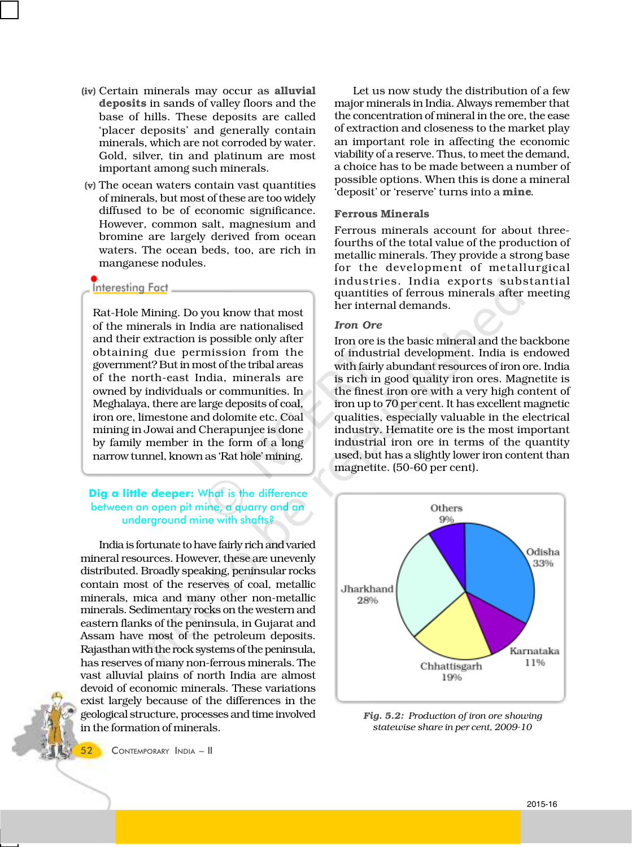- (iv) Certain minerals may occur as alluvial deposits in sands of valley floors and the base of hills. These deposits are called 'placer deposits' and generally contain minerals, which are not corroded by water. Gold, silver, tin and platinum are most important among such minerals.
- (v) The ocean waters contain vast quantities of minerals, but most of these are too widely diffused to be of economic significance. However, common salt, magnesium and bromine are largely derived from ocean waters. The ocean beds, too, are rich in manganese nodules.

### Interesting Fact

Rat-Hole Mining. Do you know that most of the minerals in India are nationalised and their extraction is possible only after obtaining due permission from the government? But in most of the tribal areas of the north-east India, minerals are owned by individuals or communities. In Meghalaya, there are large deposits of coal, iron ore, limestone and dolomite etc. Coal mining in Jowai and Cherapunjee is done by family member in the form of a long narrow tunnel, known as 'Rat hole' mining.

### **Dig a little deeper:** What is the difference between an open pit mine, a quarry and an underground mine with shafts?

India is fortunate to have fairly rich and varied mineral resources. However, these are unevenly distributed. Broadly speaking, peninsular rocks contain most of the reserves of coal, metallic minerals, mica and many other non-metallic minerals. Sedimentary rocks on the western and eastern flanks of the peninsula, in Gujarat and Assam have most of the petroleum deposits. Rajasthan with the rock systems of the peninsula, has reserves of many non-ferrous minerals. The vast alluvial plains of north India are almost devoid of economic minerals. These variations exist largely because of the differences in the geological structure, processes and time involved in the formation of minerals.

52 CONTEMPORARY INDIA – II

Let us now study the distribution of a few major minerals in India. Always remember that the concentration of mineral in the ore, the ease of extraction and closeness to the market play an important role in affecting the economic viability of a reserve. Thus, to meet the demand, a choice has to be made between a number of possible options. When this is done a mineral 'deposit' or 'reserve' turns into a **mine**.

### Ferrous Minerals

Ferrous minerals account for about threefourths of the total value of the production of metallic minerals. They provide a strong base for the development of metallurgical industries. India exports substantial quantities of ferrous minerals after meeting her internal demands.

### *Iron Ore*

Iron ore is the basic mineral and the backbone of industrial development. India is endowed with fairly abundant resources of iron ore. India is rich in good quality iron ores. Magnetite is the finest iron ore with a very high content of iron up to 70 per cent. It has excellent magnetic qualities, especially valuable in the electrical industry. Hematite ore is the most important industrial iron ore in terms of the quantity used, but has a slightly lower iron content than magnetite. (50-60 per cent).



*Fig. 5.2: Production of iron ore showing statewise share in per cent, 2009-10*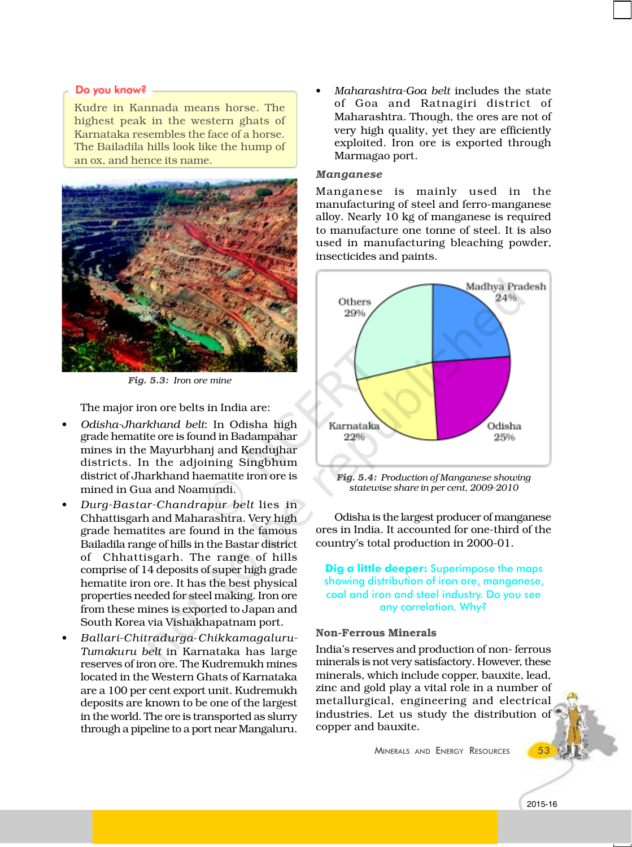### Do you know?

Kudre in Kannada means horse. The highest peak in the western ghats of Karnataka resembles the face of a horse. The Bailadila hills look like the hump of an ox, and hence its name.



*Fig. 5.3: Iron ore mine*

The major iron ore belts in India are:

- *Odisha-Jharkhand belt*: In Odisha high grade hematite ore is found in Badampahar mines in the Mayurbhanj and Kendujhar districts. In the adjoining Singbhum district of Jharkhand haematite iron ore is mined in Gua and Noamundi.
- *Durg-Bastar-Chandrapur belt* lies in Chhattisgarh and Maharashtra. Very high grade hematites are found in the famous Bailadila range of hills in the Bastar district of Chhattisgarh. The range of hills comprise of 14 deposits of super high grade hematite iron ore. It has the best physical properties needed for steel making. Iron ore from these mines is exported to Japan and South Korea via Vishakhapatnam port.
- *Ballari-Chitradurga*-*Chikkamagaluru-Tumakuru belt* in Karnataka has large reserves of iron ore. The Kudremukh mines located in the Western Ghats of Karnataka are a 100 per cent export unit. Kudremukh deposits are known to be one of the largest in the world. The ore is transported as slurry through a pipeline to a port near Mangaluru.

• *Maharashtra-Goa belt* includes the state of Goa and Ratnagiri district of Maharashtra. Though, the ores are not of very high quality, yet they are efficiently exploited. Iron ore is exported through Marmagao port.

### *Manganese*

Manganese is mainly used in the manufacturing of steel and ferro-manganese alloy. Nearly 10 kg of manganese is required to manufacture one tonne of steel. It is also used in manufacturing bleaching powder, insecticides and paints.



*Fig. 5.4: Production of Manganese showing statewise share in per cent, 2009-2010*

Odisha is the largest producer of manganese ores in India. It accounted for one-third of the country's total production in 2000-01.

**Dig a little deeper:** Superimpose the maps showing distribution of iron ore, manganese, coal and iron and steel industry. Do you see any correlation. Why?

### Non-Ferrous Minerals

India's reserves and production of non- ferrous minerals is not very satisfactory. However, these minerals, which include copper, bauxite, lead, zinc and gold play a vital role in a number of metallurgical, engineering and electrical industries. Let us study the distribution of copper and bauxite.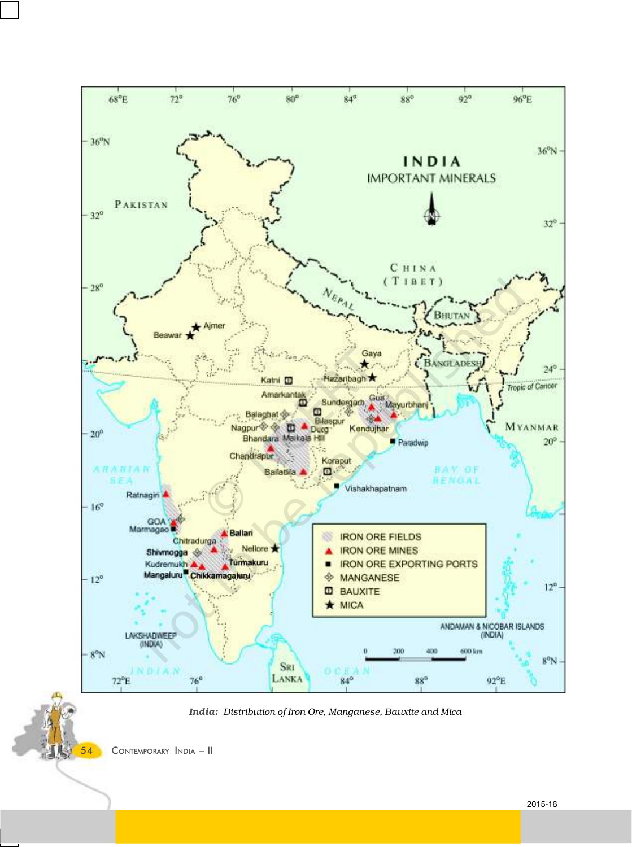

*India: Distribution of Iron Ore, Manganese, Bauxite and Mica*

54 CONTEMPORARY INDIA – II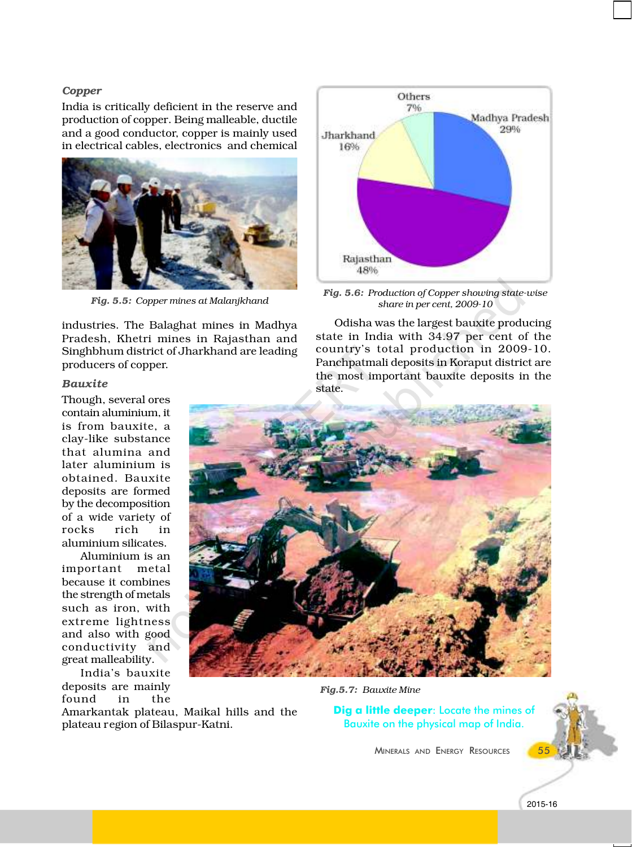### *Copper*

India is critically deficient in the reserve and production of copper. Being malleable, ductile and a good conductor, copper is mainly used in electrical cables, electronics and chemical



*Fig. 5.5: Copper mines at Malanjkhand*

industries. The Balaghat mines in Madhya Pradesh, Khetri mines in Rajasthan and Singhbhum district of Jharkhand are leading producers of copper.

### *Bauxite*

Though, several ores contain aluminium, it is from bauxite, a clay-like substance that alumina and later aluminium is obtained. Bauxite deposits are formed by the decomposition of a wide variety of rocks aluminium silicates.

Aluminium is an important metal because it combines the strength of metals such as iron, with extreme lightness and also with good conductivity and great malleability.

India's bauxite deposits are mainly found in the Amarkantak plateau, Maikal hills and the

plateau region of Bilaspur-Katni.



*Fig. 5.6: Production of Copper showing state-wise share in per cent, 2009-10*

Odisha was the largest bauxite producing state in India with 34.97 per cent of the country's total production in 2009-10. Panchpatmali deposits in Koraput district are the most important bauxite deposits in the state.



*Fig.5.7: Bauxite Mine*

**Dig a little deeper**: Locate the mines of Bauxite on the physical map of India.

![](_page_5_Picture_16.jpeg)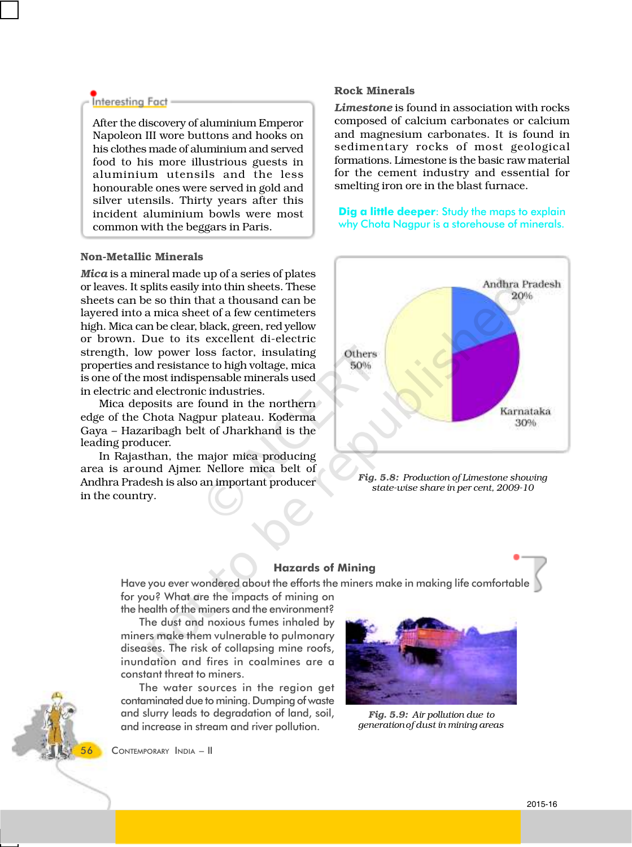### Interesting Fact

After the discovery of aluminium Emperor Napoleon III wore buttons and hooks on his clothes made of aluminium and served food to his more illustrious guests in aluminium utensils and the less honourable ones were served in gold and silver utensils. Thirty years after this incident aluminium bowls were most common with the beggars in Paris.

### Non-Metallic Minerals

*Mica* is a mineral made up of a series of plates or leaves. It splits easily into thin sheets. These sheets can be so thin that a thousand can be layered into a mica sheet of a few centimeters high. Mica can be clear, black, green, red yellow or brown. Due to its excellent di-electric strength, low power loss factor, insulating properties and resistance to high voltage, mica is one of the most indispensable minerals used in electric and electronic industries.

Mica deposits are found in the northern edge of the Chota Nagpur plateau. Koderma Gaya – Hazaribagh belt of Jharkhand is the leading producer.

In Rajasthan, the major mica producing area is around Ajmer. Nellore mica belt of Andhra Pradesh is also an important producer in the country.

### Rock Minerals

*Limestone* is found in association with rocks composed of calcium carbonates or calcium and magnesium carbonates. It is found in sedimentary rocks of most geological formations. Limestone is the basic raw material for the cement industry and essential for smelting iron ore in the blast furnace.

**Dig a little deeper**: Study the maps to explain why Chota Nagpur is a storehouse of minerals.

![](_page_6_Figure_9.jpeg)

![](_page_6_Figure_10.jpeg)

### **Hazards of Mining**

Have you ever wondered about the efforts the miners make in making life comfortable for you? What are the impacts of mining on

the health of the miners and the environment?

The dust and noxious fumes inhaled by miners make them vulnerable to pulmonary diseases. The risk of collapsing mine roofs, inundation and fires in coalmines are a constant threat to miners.

The water sources in the region get contaminated due to mining. Dumping of waste and slurry leads to degradation of land, soil, and increase in stream and river pollution.

![](_page_6_Picture_16.jpeg)

*Fig. 5.9: Air pollution due to generation of dust in mining areas*

![](_page_6_Picture_18.jpeg)

2015-16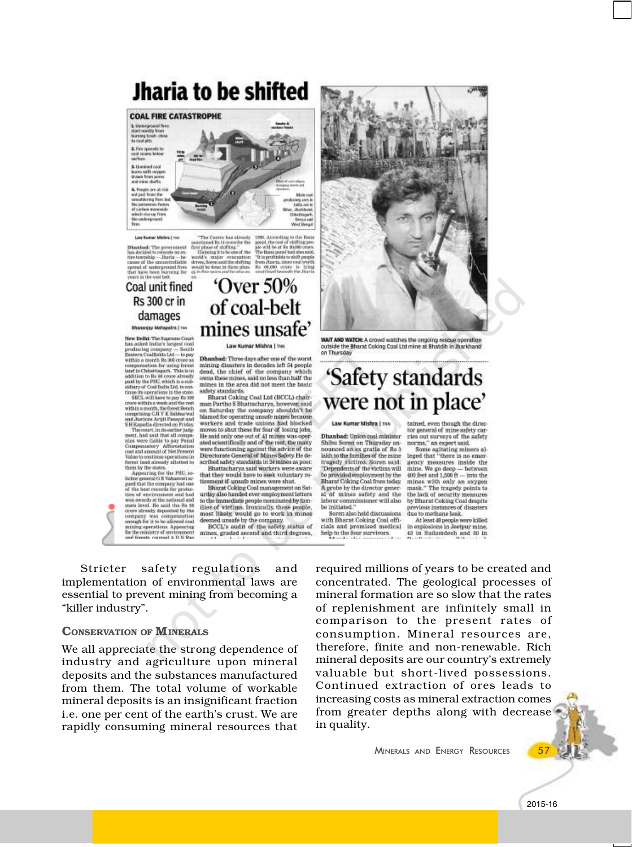![](_page_7_Picture_0.jpeg)

The C

**3.** Unwaived cool<br>borns with oxygen<br>drawn from power<br>and mine shafts **4.** Preside are at eith<br>not just from the<br>smoodstring from but<br>the passerous furture smoddering firm is<br>the poisonous furne<br>al carbon storeside<br>which rise sp from<br>the carderground<br>firm

#### Law Kumar Midea I ros

**Phanbad:** The precentnent has decided to release an ex-<br>tire towards  $\sim$  --hards  $-$  because of the uncontrol<br>stable speed of underground free speed of underground free<br>fust have been bounding for c decide

Coal unit fined Rs 300 cr in damages **Dhananjay Mehipatra | rus** 

New Bellii: The Separate Ceart<br>has a<br>sked India's largest coal producing compared — Sauth Haider<br> $\sim 5800$  Watter Coalfields Ltd — to pray within a month Ra 300 curve as<br> compensation for using freest last<br>times to Randin addition to Bs 10 crore already<br>paid by the PSU, which is a sub-<br>sidiary of Coal India Ltd, to con-

stamp or courtes and the second three three three properties in the state.<br>
The contract three three properties are the spectrum of the state of<br>the contract of the state of the state of the state of<br>
contract the state of

3 H.Eagonflachter<br>School and the state of Friday The exact in this summer, had said that all compare<br>means that the all compares in the set of the state of the state of the<br>set of the state of the comparation of the compa

1990. According to the Rams parel, the<br>cost of utiliting people will be a 20,000 cross. The Rams game<br>I had also anist. The Rams game<br>I had also anist. This recording to shift people from America, the<br>cost worth  $\sim$  1991 hes str The Centre has signally an<br>antiformed Re Islams of the first phase of shifting."<br>Claiming it to bo one of the world."<br>Claiming it to bo one of the world."<br>Alther major coversations showed by shifting special by shown in t

# **'Over 50%** of coal-belt mines unsafe'

#### Law Kumar Mishra Lyw

Dhanbad: Three days after one of the worst mining disasters in decodes left 54 people<br>dead, the chief of the company which<br>owns these mines, said no less than half the mines in the area did not meet the basic safety standards.

Bharat Coking Coal Ltd (BCCL) chair-<br>man Partho S Bhattacharya, however, said on Saturday the company shouldn't be on one-routy me tompade mines because<br>workers and trade unions had blocked<br>moves to shut these for fear of losing jobs. He said only one out of 41 mines was operated scientifically and of the rest, the many were functioning against the advice of the Directorate General of Mines Safety. He described safety standards in 24 mines as poor.<br>Bhattacharya said workers were aware

that they would have to seek voluntary retirement if smsafe mines were shut. Bharat Coking Coal management on Sat-

urday also handed over employment letters to the immediate people nominated by families of victims. Ironically, these people, most likely, would go to work in mines

deemed unsafe by the company<br>BCCL's audit of the safety status of<br>mines, graded second and third degrees,

Stricter safety regulations and implementation of environmental laws are essential to prevent mining from becoming a "killer industry".

### CONSERVATION OF MINERALS

We all appreciate the strong dependence of industry and agriculture upon mineral deposits and the substances manufactured from them. The total volume of workable mineral deposits is an insignificant fraction i.e. one per cent of the earth's crust. We are rapidly consuming mineral resources that

![](_page_7_Picture_20.jpeg)

WAIT AND WATCH: A crowd watches the ongoing rescue operation WAIT AND WATCH: A crowd watches the origoing rescue operation<br>outside the Bharat Coking Coal Ltd mine at Bhatdh in Jharkhand<br>on Thursday

# 'Safety standards were not in place'

Law Kumar Mishra | two

Dhaphad: Union and minister Shibu Soren on Thursday announced an ex grafia of Rs 3. lakh to the families of the mine tragedy victims. Soren said:<br>"Dependents of the victims will be provided employment by the Bharat Coking Coal from today<br>A probe by the director general of mines safety and the labour commissioner will also be initiated."

soren also held discussions with Bharat Coking Coal offiwith Bharat Coxing Coat official<br>clais and promised medical<br>help to the four survivors.

tained, even though the director general of mine safety carries out surveys of the aufety<br>norms," an expert said.

Some agitating miners alleged that "there is no emer-<br>gency measures inside the<br>mine. We go deep -- between  $400$  feet and  $1.500$  ft  $-$  truto the mines with only an oxygen<br>mask." The tragedy points to the lack of security measures by Bharat Coking Coal despite<br>previous instances of disasters<br>due to methane leak.

At least 48 people were killed<br>In explosions in Jeetpur mine,<br>43 in Sudamdeeh and 30 in

required millions of years to be created and concentrated. The geological processes of mineral formation are so slow that the rates of replenishment are infinitely small in comparison to the present rates of consumption. Mineral resources are, therefore, finite and non-renewable. Rich mineral deposits are our country's extremely valuable but short-lived possessions. Continued extraction of ores leads to increasing costs as mineral extraction comes from greater depths along with decrease in quality.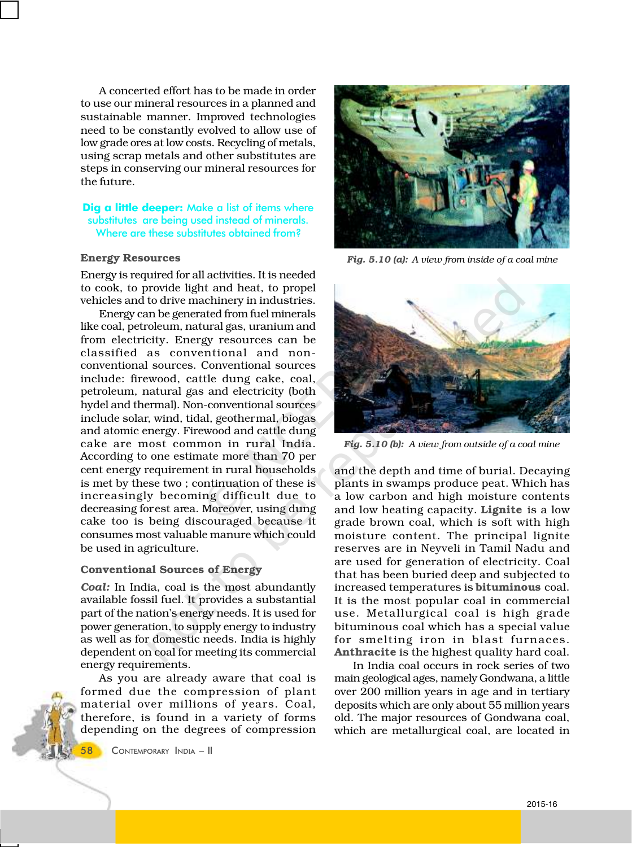A concerted effort has to be made in order to use our mineral resources in a planned and sustainable manner. Improved technologies need to be constantly evolved to allow use of low grade ores at low costs. Recycling of metals, using scrap metals and other substitutes are steps in conserving our mineral resources for the future.

### **Dig a little deeper:** Make a list of items where substitutes are being used instead of minerals. Where are these substitutes obtained from?

### Energy Resources

Energy is required for all activities. It is needed to cook, to provide light and heat, to propel vehicles and to drive machinery in industries.

Energy can be generated from fuel minerals like coal, petroleum, natural gas, uranium and from electricity. Energy resources can be classified as conventional and nonconventional sources. Conventional sources include: firewood, cattle dung cake, coal, petroleum, natural gas and electricity (both hydel and thermal). Non-conventional sources include solar, wind, tidal, geothermal, biogas and atomic energy. Firewood and cattle dung cake are most common in rural India. According to one estimate more than 70 per cent energy requirement in rural households is met by these two ; continuation of these is increasingly becoming difficult due to decreasing forest area. Moreover, using dung cake too is being discouraged because it consumes most valuable manure which could be used in agriculture.

### Conventional Sources of Energy

*Coal:* In India, coal is the most abundantly available fossil fuel. It provides a substantial part of the nation's energy needs. It is used for power generation, to supply energy to industry as well as for domestic needs. India is highly dependent on coal for meeting its commercial energy requirements.

As you are already aware that coal is formed due the compression of plant material over millions of years. Coal, therefore, is found in a variety of forms depending on the degrees of compression

![](_page_8_Picture_8.jpeg)

58 CONTEMPORARY INDIA – II

![](_page_8_Picture_10.jpeg)

*Fig. 5.10 (a): A view from inside of a coal mine*

![](_page_8_Picture_12.jpeg)

*Fig. 5.10 (b): A view from outside of a coal mine*

and the depth and time of burial. Decaying plants in swamps produce peat. Which has a low carbon and high moisture contents and low heating capacity. Lignite is a low grade brown coal, which is soft with high moisture content. The principal lignite reserves are in Neyveli in Tamil Nadu and are used for generation of electricity. Coal that has been buried deep and subjected to increased temperatures is **bituminous** coal. It is the most popular coal in commercial use. Metallurgical coal is high grade bituminous coal which has a special value for smelting iron in blast furnaces. Anthracite is the highest quality hard coal.

In India coal occurs in rock series of two main geological ages, namely Gondwana, a little over 200 million years in age and in tertiary deposits which are only about 55 million years old. The major resources of Gondwana coal, which are metallurgical coal, are located in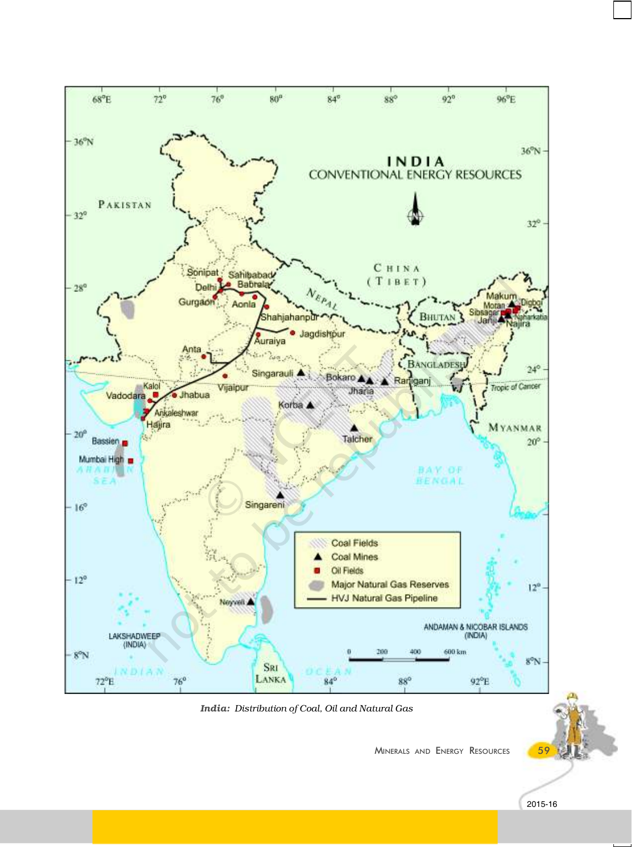![](_page_9_Figure_0.jpeg)

*India: Distribution of Coal, Oil and Natural Gas*

MINERALS AND ENERGY RESOURCES 59

2015-16

樱桃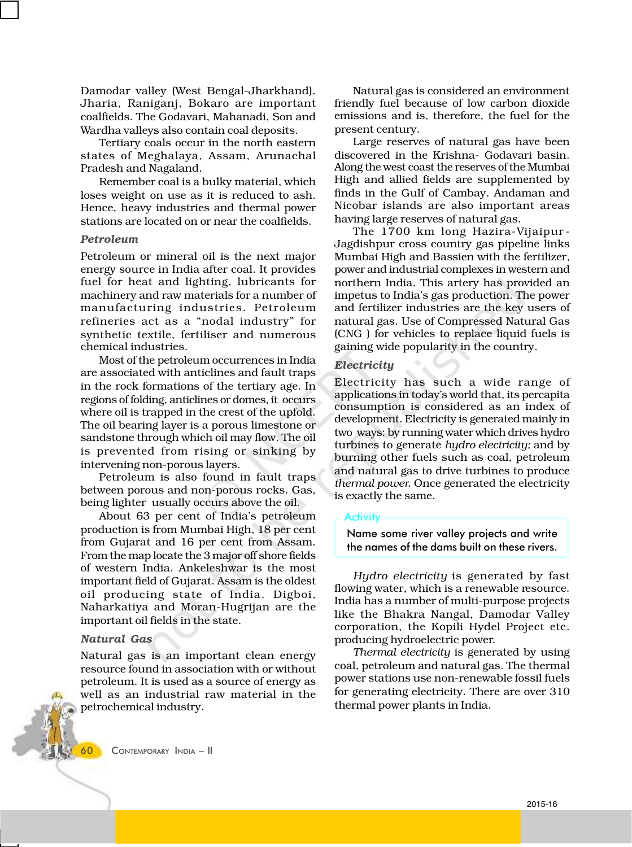Damodar valley (West Bengal-Jharkhand). Jharia, Raniganj, Bokaro are important coalfields. The Godavari, Mahanadi, Son and Wardha valleys also contain coal deposits.

Tertiary coals occur in the north eastern states of Meghalaya, Assam, Arunachal Pradesh and Nagaland.

Remember coal is a bulky material, which loses weight on use as it is reduced to ash. Hence, heavy industries and thermal power stations are located on or near the coalfields.

### *Petroleum*

Petroleum or mineral oil is the next major energy source in India after coal. It provides fuel for heat and lighting, lubricants for machinery and raw materials for a number of manufacturing industries. Petroleum refineries act as a "nodal industry" for synthetic textile, fertiliser and numerous chemical industries.

Most of the petroleum occurrences in India are associated with anticlines and fault traps in the rock formations of the tertiary age. In regions of folding, anticlines or domes, it occurs where oil is trapped in the crest of the upfold. The oil bearing layer is a porous limestone or sandstone through which oil may flow. The oil is prevented from rising or sinking by intervening non-porous layers.

Petroleum is also found in fault traps between porous and non-porous rocks. Gas, being lighter usually occurs above the oil.

About 63 per cent of India's petroleum production is from Mumbai High, 18 per cent from Gujarat and 16 per cent from Assam. From the map locate the 3 major off shore fields of western India. Ankeleshwar is the most important field of Gujarat. Assam is the oldest oil producing state of India. Digboi, Naharkatiya and Moran-Hugrijan are the important oil fields in the state.

### *Natural Gas*

Natural gas is an important clean energy resource found in association with or without petroleum. It is used as a source of energy as well as an industrial raw material in the petrochemical industry.

Natural gas is considered an environment friendly fuel because of low carbon dioxide emissions and is, therefore, the fuel for the present century.

Large reserves of natural gas have been discovered in the Krishna- Godavari basin. Along the west coast the reserves of the Mumbai High and allied fields are supplemented by finds in the Gulf of Cambay. Andaman and Nicobar islands are also important areas having large reserves of natural gas.

The 1700 km long Hazira-Vijaipur - Jagdishpur cross country gas pipeline links Mumbai High and Bassien with the fertilizer, power and industrial complexes in western and northern India. This artery has provided an impetus to India's gas production. The power and fertilizer industries are the key users of natural gas. Use of Compressed Natural Gas (CNG ) for vehicles to replace liquid fuels is gaining wide popularity in the country.

### *Electricity*

Electricity has such a wide range of applications in today's world that, its percapita consumption is considered as an index of development. Electricity is generated mainly in two ways: by running water which drives hydro turbines to generate *hydro electricity;* and by burning other fuels such as coal, petroleum and natural gas to drive turbines to produce *thermal power.* Once generated the electricity is exactly the same.

### Activity

Name some river valley projects and write the names of the dams built on these rivers.

*Hydro electricity* is generated by fast flowing water, which is a renewable resource. India has a number of multi-purpose projects like the Bhakra Nangal, Damodar Valley corporation, the Kopili Hydel Project etc. producing hydroelectric power.

*Thermal electricity* is generated by using coal, petroleum and natural gas. The thermal power stations use non-renewable fossil fuels for generating electricity. There are over 310 thermal power plants in India.

![](_page_10_Picture_19.jpeg)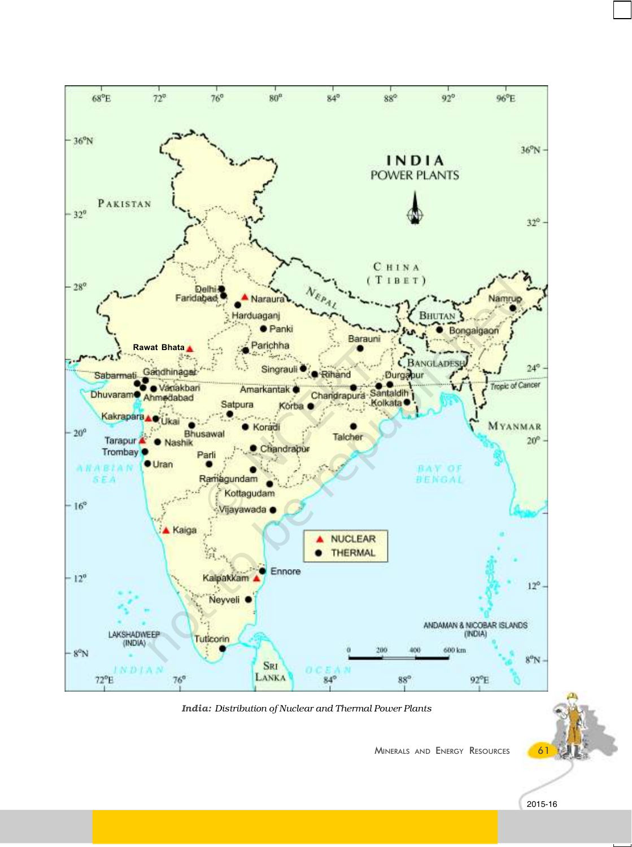![](_page_11_Figure_0.jpeg)

*India: Distribution of Nuclear and Thermal Power Plants*

MINERALS AND ENERGY RESOURCES 61

2015-16

腿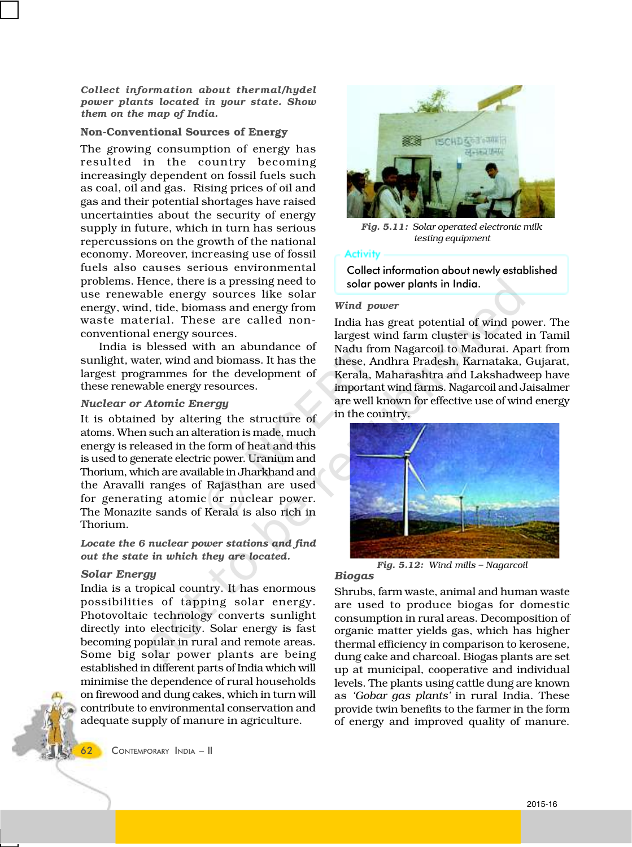*Collect information about thermal/hydel power plants located in your state. Show them on the map of India.*

### Non-Conventional Sources of Energy

The growing consumption of energy has resulted in the country becoming increasingly dependent on fossil fuels such as coal, oil and gas. Rising prices of oil and gas and their potential shortages have raised uncertainties about the security of energy supply in future, which in turn has serious repercussions on the growth of the national economy. Moreover, increasing use of fossil fuels also causes serious environmental problems. Hence, there is a pressing need to use renewable energy sources like solar energy, wind, tide, biomass and energy from waste material. These are called nonconventional energy sources.

India is blessed with an abundance of sunlight, water, wind and biomass. It has the largest programmes for the development of these renewable energy resources.

### *Nuclear or Atomic Energy*

It is obtained by altering the structure of atoms. When such an alteration is made, much energy is released in the form of heat and this is used to generate electric power. Uranium and Thorium, which are available in Jharkhand and the Aravalli ranges of Rajasthan are used for generating atomic or nuclear power. The Monazite sands of Kerala is also rich in Thorium.

### *Locate the 6 nuclear power stations and find out the state in which they are located.*

### *Solar Energy*

India is a tropical country. It has enormous possibilities of tapping solar energy. Photovoltaic technology converts sunlight directly into electricity. Solar energy is fast becoming popular in rural and remote areas. Some big solar power plants are being established in different parts of India which will minimise the dependence of rural households on firewood and dung cakes, which in turn will contribute to environmental conservation and adequate supply of manure in agriculture.

![](_page_12_Picture_9.jpeg)

CONTEMPORARY INDIA - II

![](_page_12_Picture_11.jpeg)

*Fig. 5.11: Solar operated electronic milk testing equipment*

### Activity

Collect information about newly established solar power plants in India.

### *Wind power*

India has great potential of wind power. The largest wind farm cluster is located in Tamil Nadu from Nagarcoil to Madurai. Apart from these, Andhra Pradesh, Karnataka, Gujarat, Kerala, Maharashtra and Lakshadweep have important wind farms. Nagarcoil and Jaisalmer are well known for effective use of wind energy in the country.

![](_page_12_Picture_17.jpeg)

*Fig. 5.12: Wind mills – Nagarcoil Biogas*

Shrubs, farm waste, animal and human waste are used to produce biogas for domestic consumption in rural areas. Decomposition of organic matter yields gas, which has higher thermal efficiency in comparison to kerosene, dung cake and charcoal. Biogas plants are set up at municipal, cooperative and individual levels. The plants using cattle dung are known as *'Gobar gas plants'* in rural India. These provide twin benefits to the farmer in the form of energy and improved quality of manure.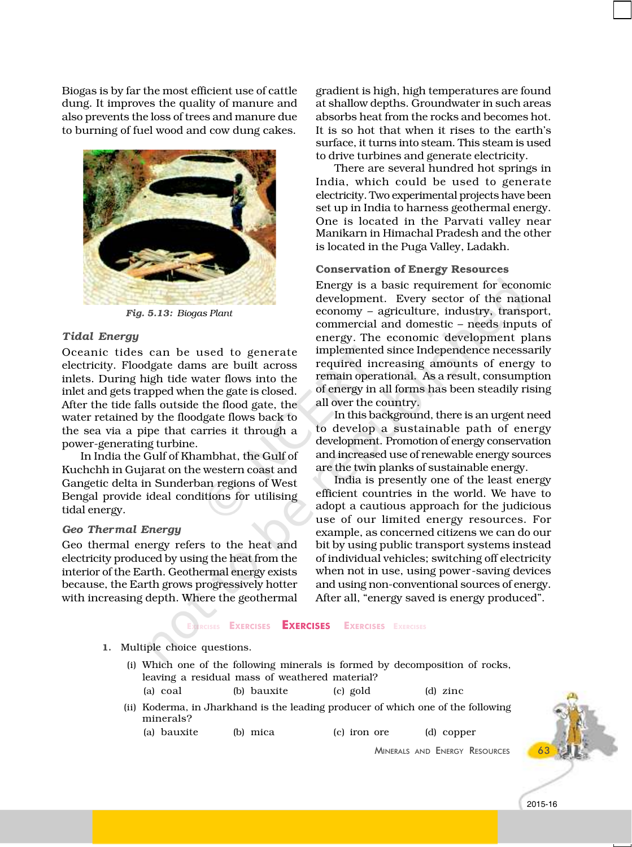Biogas is by far the most efficient use of cattle dung. It improves the quality of manure and also prevents the loss of trees and manure due to burning of fuel wood and cow dung cakes.

![](_page_13_Picture_1.jpeg)

*Fig. 5.13: Biogas Plant*

### *Tidal Energy*

Oceanic tides can be used to generate electricity. Floodgate dams are built across inlets. During high tide water flows into the inlet and gets trapped when the gate is closed. After the tide falls outside the flood gate, the water retained by the floodgate flows back to the sea via a pipe that carries it through a power-generating turbine.

In India the Gulf of Khambhat, the Gulf of Kuchchh in Gujarat on the western coast and Gangetic delta in Sunderban regions of West Bengal provide ideal conditions for utilising tidal energy.

## *Geo Thermal Energy*

Geo thermal energy refers to the heat and electricity produced by using the heat from the interior of the Earth. Geothermal energy exists because, the Earth grows progressively hotter with increasing depth. Where the geothermal gradient is high, high temperatures are found at shallow depths. Groundwater in such areas absorbs heat from the rocks and becomes hot. It is so hot that when it rises to the earth's surface, it turns into steam. This steam is used to drive turbines and generate electricity.

There are several hundred hot springs in India, which could be used to generate electricity. Two experimental projects have been set up in India to harness geothermal energy. One is located in the Parvati valley near Manikarn in Himachal Pradesh and the other is located in the Puga Valley, Ladakh.

### Conservation of Energy Resources

Energy is a basic requirement for economic development. Every sector of the national economy – agriculture, industry, transport, commercial and domestic – needs inputs of energy. The economic development plans implemented since Independence necessarily required increasing amounts of energy to remain operational. As a result, consumption of energy in all forms has been steadily rising all over the country.

In this background, there is an urgent need to develop a sustainable path of energy development. Promotion of energy conservation and increased use of renewable energy sources are the twin planks of sustainable energy.

India is presently one of the least energy efficient countries in the world. We have to adopt a cautious approach for the judicious use of our limited energy resources. For example, as concerned citizens we can do our bit by using public transport systems instead of individual vehicles; switching off electricity when not in use, using power-saving devices and using non-conventional sources of energy. After all, "energy saved is energy produced".

### **<sup>E</sup>XERCISES EXERCISES EXERCISES EXERCISES <sup>E</sup>XERCISES**

1. Multiple choice questions.

(i) Which one of the following minerals is formed by decomposition of rocks, leaving a residual mass of weathered material? (a) coal (b) bauxite (c) gold (d) zinc

(ii) Koderma, in Jharkhand is the leading producer of which one of the following minerals?

(a) bauxite (b) mica (c) iron ore (d) copper

MINERALS AND ENERGY RESOURCES

![](_page_13_Picture_21.jpeg)

2015-16